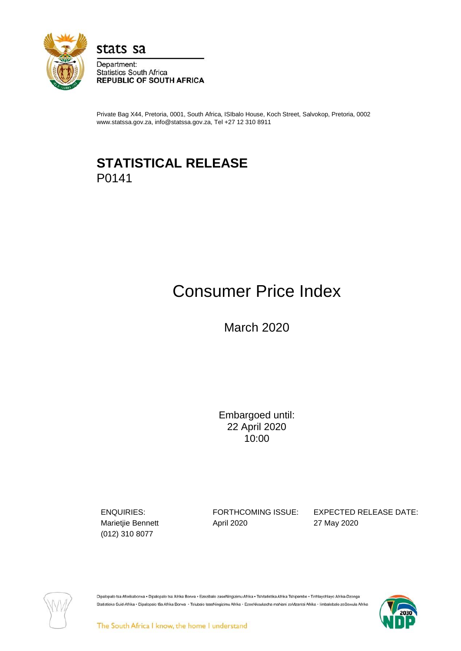

stats sa

Department: **Statistics South Africa REPUBLIC OF SOUTH AFRICA** 

Private Bag X44, Pretoria, 0001, South Africa, ISIbalo House, Koch Street, Salvokop, Pretoria, 0002 www.statssa.gov.za, info@statssa.gov.za, Tel +27 12 310 8911

# **STATISTICAL RELEASE** P0141

# Consumer Price Index

March 2020

Embargoed until: 22 April 2020 10:00

(012) 310 8077

Marietjie Bennett **April 2020** 27 May 2020

ENQUIRIES: FORTHCOMING ISSUE: EXPECTED RELEASE DATE:



Dipalopalo tsa Aforikaborwa · Dipalopalo tsa Afrika Borwa · Ezezibalo zaseNingizimu Afrika · Tshitatistika Afrika Tshipembe · Tinhlayohlayo Afrika-Dzonga Statistieke Suid-Afrika . Dipalopalo tša Afrika Borwa . Telubalo taseNingizimu Afrika . EzeeNkcukacha maNani zoMzantsi Afrika . limbalobalo zeSewula Afrika

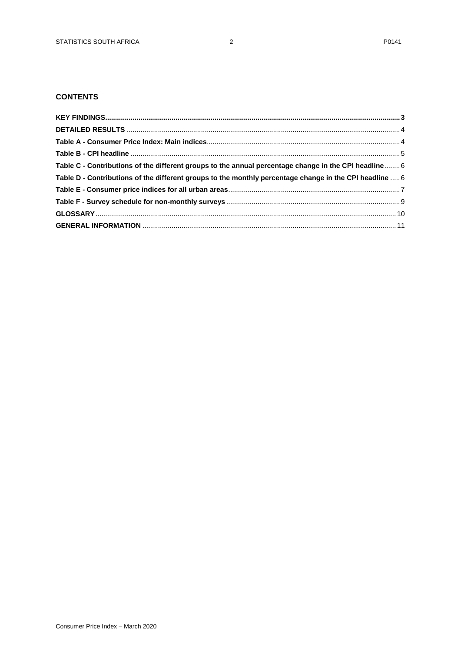# **CONTENTS**

| Table C - Contributions of the different groups to the annual percentage change in the CPI headline 6   |  |
|---------------------------------------------------------------------------------------------------------|--|
| Table D - Contributions of the different groups to the monthly percentage change in the CPI headline  6 |  |
|                                                                                                         |  |
|                                                                                                         |  |
|                                                                                                         |  |
|                                                                                                         |  |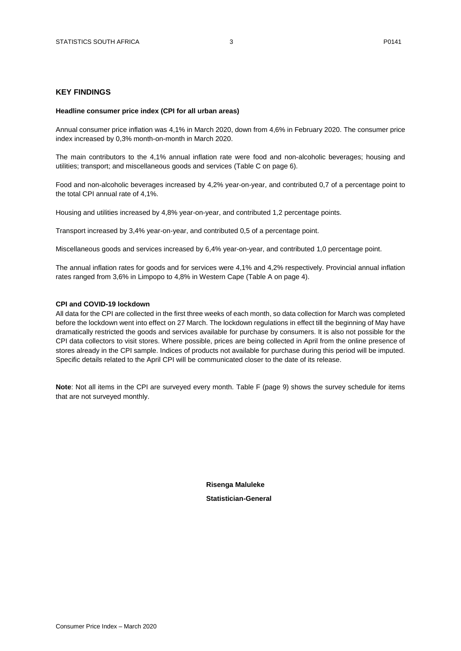#### <span id="page-2-0"></span>**KEY FINDINGS**

#### **Headline consumer price index (CPI for all urban areas)**

Annual consumer price inflation was 4,1% in March 2020, down from 4,6% in February 2020. The consumer price index increased by 0,3% month-on-month in March 2020.

The main contributors to the 4,1% annual inflation rate were food and non-alcoholic beverages; housing and utilities; transport; and miscellaneous goods and services (Table C on page 6).

Food and non-alcoholic beverages increased by 4,2% year-on-year, and contributed 0,7 of a percentage point to the total CPI annual rate of 4,1%.

Housing and utilities increased by 4,8% year-on-year, and contributed 1,2 percentage points.

Transport increased by 3,4% year-on-year, and contributed 0,5 of a percentage point.

Miscellaneous goods and services increased by 6,4% year-on-year, and contributed 1,0 percentage point.

The annual inflation rates for goods and for services were 4,1% and 4,2% respectively. Provincial annual inflation rates ranged from 3,6% in Limpopo to 4,8% in Western Cape (Table A on page 4).

#### **CPI and COVID-19 lockdown**

All data for the CPI are collected in the first three weeks of each month, so data collection for March was completed before the lockdown went into effect on 27 March. The lockdown regulations in effect till the beginning of May have dramatically restricted the goods and services available for purchase by consumers. It is also not possible for the CPI data collectors to visit stores. Where possible, prices are being collected in April from the online presence of stores already in the CPI sample. Indices of products not available for purchase during this period will be imputed. Specific details related to the April CPI will be communicated closer to the date of its release.

**Note**: Not all items in the CPI are surveyed every month. Table F (page 9) shows the survey schedule for items that are not surveyed monthly.

> **Risenga Maluleke Statistician-General**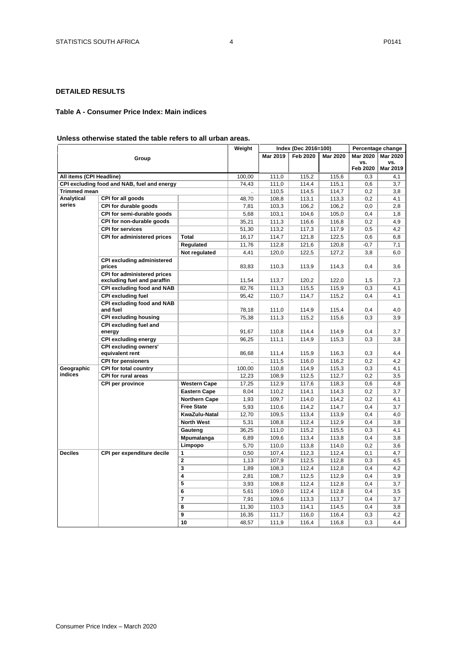## <span id="page-3-0"></span>**DETAILED RESULTS**

## <span id="page-3-1"></span>**Table A - Consumer Price Index: Main indices**

#### **Unless otherwise stated the table refers to all urban areas.**

|                          |                                                                   | Weight               | Index (Dec 2016=100) |                |                 | Percentage change |                 |                 |
|--------------------------|-------------------------------------------------------------------|----------------------|----------------------|----------------|-----------------|-------------------|-----------------|-----------------|
|                          | Group                                                             |                      |                      | Mar 2019       | <b>Feb 2020</b> | <b>Mar 2020</b>   | <b>Mar 2020</b> | <b>Mar 2020</b> |
|                          |                                                                   |                      |                      |                |                 |                   | VS.             | vs.             |
|                          |                                                                   |                      |                      |                |                 |                   | <b>Feb 2020</b> | Mar 2019        |
| All items (CPI Headline) |                                                                   | 100,00               | 111,0                | 115,2          | 115,6           | 0,3               | 4,1             |                 |
|                          | CPI excluding food and NAB, fuel and energy                       |                      | 74,43                | 111,0          | 114,4           | 115,1             | 0,6             | 3,7             |
| <b>Trimmed mean</b>      |                                                                   |                      |                      | 110,5          | 114,5           | 114,7             | 0,2             | 3,8             |
| Analytical               | CPI for all goods                                                 |                      | 48,70                | 108,8          | 113,1           | 113,3             | 0,2             | 4,1             |
| series                   | CPI for durable goods                                             |                      | 7,81                 | 103,3          | 106,2           | 106,2             | 0,0             | 2,8             |
|                          | CPI for semi-durable goods                                        |                      | 5,68                 | 103,1          | 104,6           | 105,0             | 0,4             | 1,8             |
|                          | CPI for non-durable goods                                         |                      | 35,21                | 111,3          | 116,6           | 116,8             | 0,2             | 4,9             |
|                          | <b>CPI for services</b>                                           |                      | 51,30                | 113,2          | 117,3           | 117,9             | 0,5             | 4,2             |
|                          | <b>CPI for administered prices</b>                                | <b>Total</b>         | 16,17                | 114,7          | 121,8           | 122,5             | 0,6             | 6,8             |
|                          |                                                                   | Regulated            | 11,76                | 112,8          | 121,6           | 120,8             | $-0,7$          | 7,1             |
|                          |                                                                   | Not regulated        | 4,41                 | 120,0          | 122,5           | 127,2             | 3,8             | 6,0             |
|                          | <b>CPI excluding administered</b><br>prices                       |                      | 83,83                | 110,3          | 113,9           | 114,3             | 0,4             | 3,6             |
|                          | <b>CPI for administered prices</b><br>excluding fuel and paraffin |                      | 11,54                | 113,7          | 120,2           | 122,0             | 1,5             | 7,3             |
|                          |                                                                   |                      |                      |                |                 |                   |                 |                 |
|                          | CPI excluding food and NAB                                        |                      | 82,76                | 111,3          | 115,5           | 115,9             | 0,3             | 4,1             |
|                          | <b>CPI excluding fuel</b>                                         |                      | 95,42                | 110,7          | 114,7           | 115,2             | 0.4             | 4,1             |
|                          | <b>CPI excluding food and NAB</b><br>and fuel                     |                      | 78,18                | 111,0          | 114,9           | 115,4             | 0,4             | 4,0             |
|                          | <b>CPI excluding housing</b>                                      |                      | 75,38                | 111,3          | 115,2           | 115,6             | 0,3             | 3,9             |
|                          | CPI excluding fuel and<br>energy                                  |                      | 91,67                | 110,8          | 114,4           | 114,9             | 0,4             | 3,7             |
|                          | <b>CPI excluding energy</b>                                       |                      | 96,25                | 111,1          | 114,9           | 115,3             | 0,3             | 3,8             |
|                          | <b>CPI excluding owners'</b>                                      |                      |                      |                |                 |                   |                 |                 |
|                          | equivalent rent                                                   |                      | 86,68                | 111,4          | 115,9           | 116,3             | 0,3             | 4,4             |
|                          | <b>CPI for pensioners</b>                                         |                      |                      | 111,5          | 116.0           | 116,2             | 0,2             | 4,2             |
| Geographic               | CPI for total country                                             |                      | 100,00               | 110,8          | 114,9           | 115,3             | 0,3             | 4,1             |
| indices                  | <b>CPI for rural areas</b>                                        |                      | 12,23                | 108,9          | 112,5           | 112,7             | 0,2             | 3,5             |
|                          | CPI per province                                                  | <b>Western Cape</b>  | 17,25                | 112,9          | 117,6           | 118,3             | 0,6             | 4,8             |
|                          |                                                                   | <b>Eastern Cape</b>  | 8,04                 | 110,2          | 114,1           | 114,3             | 0,2             | 3,7             |
|                          |                                                                   | <b>Northern Cape</b> | 1,93                 | 109,7          | 114,0           | 114,2             | 0,2             | 4,1             |
|                          |                                                                   | <b>Free State</b>    | 5,93                 | 110,6          | 114.2           | 114,7             | 0,4             | 3,7             |
|                          |                                                                   | KwaZulu-Natal        | 12,70                | 109,5          | 113,4           | 113,9             | 0,4             | 4,0             |
|                          |                                                                   | <b>North West</b>    | 5,31                 | 108,8          | 112,4           | 112,9             | 0,4             | 3,8             |
|                          |                                                                   | Gauteng              | 36,25                | 111,0          | 115,2           | 115,5             | 0,3             | 4,1             |
|                          |                                                                   | Mpumalanga           | 6,89                 | 109,6          | 113,4           | 113,8             | 0,4             | 3,8             |
|                          |                                                                   | Limpopo              | 5,70                 | 110,0          | 113,8           | 114,0             | 0,2             | 3,6             |
| <b>Deciles</b>           | CPI per expenditure decile                                        | 1                    | 0,50                 | 107,4          | 112,3           | 112,4             | 0,1             | 4,7             |
|                          |                                                                   | $\mathbf 2$          | 1,13                 | 107,9          | 112,5           | 112,8             | 0,3             | 4,5             |
|                          |                                                                   | 3                    | 1,89                 | 108,3          | 112,4           | 112,8             | 0,4             | 4,2             |
|                          |                                                                   | 4                    | 2,81                 | 108,7          | 112,5           | 112,9             | 0,4             | 3,9             |
|                          |                                                                   | 5                    | 3,93                 | 108,8          | 112,4           | 112,8             | 0,4             | 3,7             |
|                          |                                                                   | 6                    | 5,61                 | 109,0          | 112,4           | 112,8             | 0,4             | 3,5             |
|                          |                                                                   | 7                    | 7,91                 | 109,6          | 113,3           | 113,7             | 0,4             | 3,7             |
|                          |                                                                   | 8                    |                      |                |                 |                   | 0,4             |                 |
|                          |                                                                   | 9                    | 11,30                | 110,3<br>111,7 | 114,1<br>116,0  | 114,5<br>116,4    | 0,3             | 3,8<br>4,2      |
|                          |                                                                   |                      | 16,35                |                |                 |                   |                 |                 |
|                          |                                                                   | 10                   | 48,57                | 111,9          | 116,4           | 116,8             | 0,3             | 4,4             |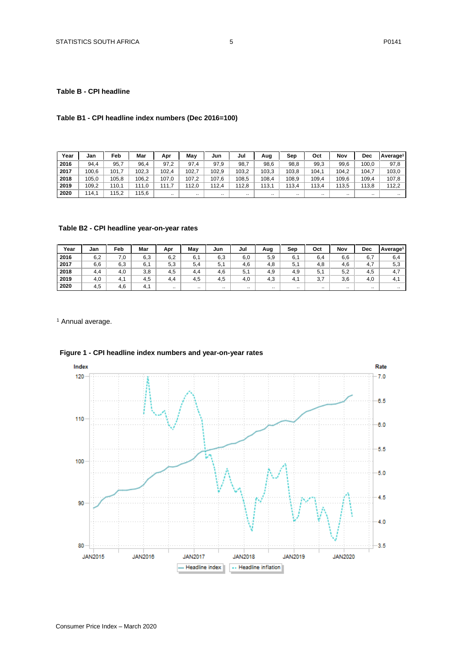#### <span id="page-4-0"></span>**Table B - CPI headline**

## **Table B1 - CPI headline index numbers (Dec 2016=100)**

| Year | Jan   | Feb   | Mar   | Apr   | May      | Jun      | Jul   | Aug      | Sep       | Oct   | Nov      | Dec       | Average <sup>1</sup> |
|------|-------|-------|-------|-------|----------|----------|-------|----------|-----------|-------|----------|-----------|----------------------|
| 2016 | 94,4  | 95,7  | 96.4  | 97,2  | 97.<br>4 | 97.9     | 98,7  | 98,6     | 98,8      | 99,3  | 99,6     | 100.0     | 97.8                 |
| 2017 | 100,6 | 101.  | 102.3 | 102.4 | 102.     | 102.9    | 103,2 | 103,3    | 103,8     | 104.1 | 104.2    | 104.7     | 103,0                |
| 2018 | 105.0 | 105.8 | 106.2 | 107,0 | 107,2    | 107.6    | 108.5 | 108.4    | 108.9     | 109.4 | 109.6    | 109,4     | 107.8                |
| 2019 | 109,2 | 110,1 | 111.0 | 11.7  | 112,0    | 112,4    | 12.8  | 113.1    | 113,4     | 113,4 | 113,5    | 113.8     | 112,2                |
| 2020 | 114.1 | 115,2 | 115,6 |       |          | $\cdots$ |       | $\cdots$ | $\cdot$ . |       | $\cdots$ | $\cdot$ . | $\cdot$ .            |

#### **Table B2 - CPI headline year-on-year rates**

| Year | Jan | Feb                   | Mar | Apr      | Mav      | Jun     | Jul       | Aug | Sep       | Oct           | Nov      | <b>Dec</b>             | Average <sup>1</sup> |
|------|-----|-----------------------|-----|----------|----------|---------|-----------|-----|-----------|---------------|----------|------------------------|----------------------|
| 2016 | 6,2 | 7,0                   | 6,3 | 6,2      | 6.7      | 6,3     | 6,0       | 5,9 | 6.        | 6,4           | 6,6      | 6.7                    | 6,4                  |
| 2017 | 6,6 | 6,3                   | 6.7 | 5.3      | 5.4      | -<br>5. | 4.6       | 4,8 | 5.1       | 4.8           | 4,6      | . <del>.</del><br>4. . | 5.3                  |
| 2018 | 4.4 | 4,0                   | 3,8 | 4.5      | 4.4      | 4,6     | 5.        | 4,9 | 4.9       | $5,^{\prime}$ | 5,2      | 4.5                    | 4.7                  |
| 2019 | 4,0 | $\overline{A}$<br>4.1 | 4.5 | 4.4      | 4.5      | 4.5     | 4.0       | 4.3 | -4.       | 27<br>J,      | 3,6      | 4.0                    | -4.                  |
| 2020 | 4.5 | 4,6                   | 4.1 | $\cdots$ | $\cdots$ |         | $\cdot$ . |     | $\cdot$ . |               | $\cdots$ | $\cdot$ .              |                      |

<sup>1</sup> Annual average.



# **Figure 1 - CPI headline index numbers and year-on-year rates**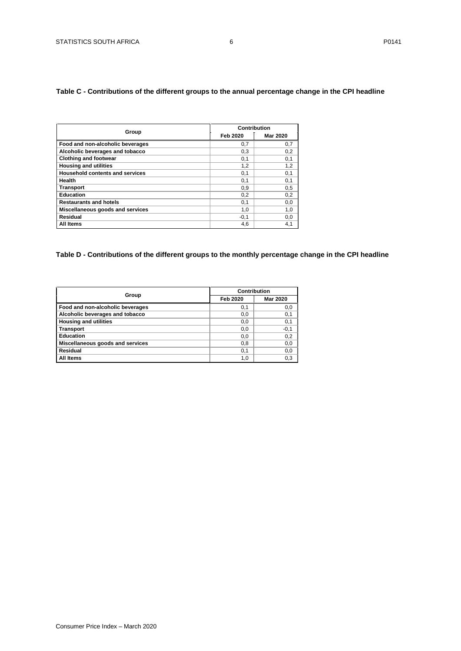## <span id="page-5-0"></span>**Table C - Contributions of the different groups to the annual percentage change in the CPI headline**

|                                        |          | Contribution    |
|----------------------------------------|----------|-----------------|
| Group                                  | Feb 2020 | <b>Mar 2020</b> |
| Food and non-alcoholic beverages       | 0,7      | 0,7             |
| Alcoholic beverages and tobacco        | 0,3      | 0,2             |
| <b>Clothing and footwear</b>           | 0,1      | 0,1             |
| <b>Housing and utilities</b>           | 1,2      | 1,2             |
| <b>Household contents and services</b> | 0,1      | 0,1             |
| Health                                 | 0,1      | 0,1             |
| <b>Transport</b>                       | 0,9      | 0,5             |
| Education                              | 0,2      | 0,2             |
| <b>Restaurants and hotels</b>          | 0,1      | 0,0             |
| Miscellaneous goods and services       | 1,0      | 1,0             |
| Residual                               | $-0,1$   | 0,0             |
| All Items                              | 4,6      | 4,1             |

# <span id="page-5-1"></span>**Table D - Contributions of the different groups to the monthly percentage change in the CPI headline**

|                                  | Contribution |                 |
|----------------------------------|--------------|-----------------|
| Group                            | Feb 2020     | <b>Mar 2020</b> |
| Food and non-alcoholic beverages | 0,1          | 0,0             |
| Alcoholic beverages and tobacco  | 0,0          | 0,1             |
| <b>Housing and utilities</b>     | 0,0          | 0,1             |
| <b>Transport</b>                 | 0,0          | $-0,1$          |
| <b>Education</b>                 | 0,0          | 0,2             |
| Miscellaneous goods and services | 0,8          | 0,0             |
| Residual                         | 0,1          | 0,0             |
| All Items                        | 1,0          | 0,3             |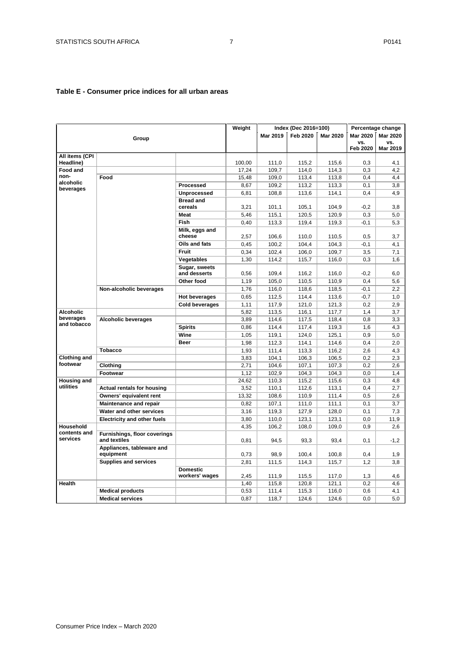# <span id="page-6-0"></span>**Table E - Consumer price indices for all urban areas**

|                                 |                                        |                          | Weight |                 | Index (Dec 2016=100) |                 |                        | Percentage change |
|---------------------------------|----------------------------------------|--------------------------|--------|-----------------|----------------------|-----------------|------------------------|-------------------|
|                                 | Group                                  |                          |        | <b>Mar 2019</b> | Feb 2020             | <b>Mar 2020</b> | <b>Mar 2020</b>        | <b>Mar 2020</b>   |
|                                 |                                        |                          |        |                 |                      |                 | VS.<br><b>Feb 2020</b> | VS.<br>Mar 2019   |
| All items (CPI                  |                                        |                          |        |                 |                      |                 |                        |                   |
| Headline)                       |                                        |                          | 100,00 | 111,0           | 115.2                | 115,6           | 0.3                    | 4,1               |
| <b>Food and</b>                 |                                        |                          | 17,24  | 109,7           | 114,0                | 114,3           | 0,3                    | 4,2               |
| non-                            | Food                                   |                          | 15,48  | 109,0           | 113,4                | 113,8           | 0,4                    | 4,4               |
| alcoholic<br>beverages          |                                        | Processed                | 8,67   | 109,2           | 113,2                | 113,3           | 0,1                    | 3,8               |
|                                 |                                        | <b>Unprocessed</b>       | 6,81   | 108,8           | 113,6                | 114,1           | 0,4                    | 4,9               |
|                                 |                                        | <b>Bread and</b>         |        |                 |                      |                 |                        |                   |
|                                 |                                        | cereals                  | 3,21   | 101,1           | 105,1                | 104,9           | $-0,2$                 | 3,8               |
|                                 |                                        | Meat                     | 5,46   | 115,1           | 120,5                | 120,9           | 0,3                    | 5,0               |
|                                 |                                        | Fish                     | 0,40   | 113,3           | 119,4                | 119,3           | $-0.1$                 | 5.3               |
|                                 |                                        | Milk, eggs and<br>cheese | 2,57   | 106,6           | 110,0                | 110,5           | 0,5                    | 3,7               |
|                                 |                                        | Oils and fats            | 0,45   | 100,2           | 104,4                | 104,3           | $-0,1$                 | 4,1               |
|                                 |                                        | Fruit                    | 0,34   | 102,4           | 106,0                | 109,7           | 3,5                    | 7,1               |
|                                 |                                        | Vegetables               | 1,30   | 114,2           | 115,7                | 116,0           | 0,3                    | 1,6               |
|                                 |                                        | Sugar, sweets            |        |                 |                      |                 |                        |                   |
|                                 |                                        | and desserts             | 0,56   | 109,4           | 116,2                | 116,0           | $-0.2$                 | 6,0               |
|                                 |                                        | Other food               | 1,19   | 105,0           | 110,5                | 110,9           | 0,4                    | 5,6               |
|                                 | Non-alcoholic beverages                |                          | 1,76   | 116,0           | 118,6                | 118,5           | $-0,1$                 | 2,2               |
|                                 |                                        | <b>Hot beverages</b>     | 0,65   | 112,5           | 114,4                | 113,6           | $-0,7$                 | 1,0               |
|                                 |                                        | <b>Cold beverages</b>    | 1,11   | 117,9           | 121,0                | 121,3           | 0,2                    | 2,9               |
| <b>Alcoholic</b>                |                                        |                          | 5,82   | 113,5           | 116,1                | 117,7           | 1,4                    | 3,7               |
| beverages<br>and tobacco        | <b>Alcoholic beverages</b>             |                          | 3,89   | 114,6           | 117,5                | 118,4           | 0,8                    | 3,3               |
|                                 |                                        | <b>Spirits</b>           | 0,86   | 114,4           | 117,4                | 119,3           | 1,6                    | 4,3               |
|                                 |                                        | Wine                     | 1,05   | 119,1           | 124,0                | 125,1           | 0,9                    | 5,0               |
|                                 |                                        | Beer                     | 1,98   | 112,3           | 114,1                | 114,6           | 0,4                    | 2,0               |
|                                 | <b>Tobacco</b>                         |                          | 1,93   | 111,4           | 113,3                | 116,2           | 2,6                    | 4,3               |
| <b>Clothing and</b>             |                                        |                          | 3,83   | 104,1           | 106,3                | 106,5           | 0,2                    | 2,3               |
| footwear                        | Clothing                               |                          | 2,71   | 104,6           | 107,1                | 107,3           | 0,2                    | 2,6               |
|                                 | Footwear                               |                          | 1,12   | 102,9           | 104,3                | 104,3           | 0,0                    | 1,4               |
| <b>Housing and</b><br>utilities |                                        |                          | 24,62  | 110,3           | 115,2                | 115,6           | 0,3                    | 4,8               |
|                                 | <b>Actual rentals for housing</b>      |                          | 3,52   | 110,1           | 112,6                | 113,1           | 0,4                    | 2,7               |
|                                 | Owners' equivalent rent                |                          | 13,32  | 108,6           | 110,9                | 111,4           | 0,5                    | 2,6               |
|                                 | <b>Maintenance and repair</b>          |                          | 0,82   | 107,1           | 111,0                | 111,1           | 0,1                    | 3,7               |
|                                 | Water and other services               |                          | 3,16   | 119,3           | 127,9                | 128,0           | 0,1                    | 7,3               |
| Household                       | <b>Electricity and other fuels</b>     |                          | 3,80   | 110,0           | 123,1                | 123,1           | 0,0                    | 11,9              |
| contents and                    | <b>Furnishings, floor coverings</b>    |                          | 4,35   | 106,2           | 108,0                | 109,0           | 0,9                    | 2,6               |
| services                        | and textiles                           |                          | 0.81   | 94.5            | 93,3                 | 93.4            | 0,1                    | $-1,2$            |
|                                 | Appliances, tableware and<br>equipment |                          | 0,73   | 98,9            | 100,4                | 100,8           | 0,4                    | 1,9               |
|                                 | <b>Supplies and services</b>           |                          | 2,81   | 111,5           | 114,3                | 115,7           | 1,2                    | 3,8               |
|                                 |                                        | <b>Domestic</b>          |        |                 |                      |                 |                        |                   |
|                                 |                                        | workers' wages           | 2,45   | 111,9           | 115,5                | 117,0           | 1,3                    | 4,6               |
| <b>Health</b>                   |                                        |                          | 1,40   | 115,8           | 120,8                | 121,1           | 0,2                    | 4,6               |
|                                 | <b>Medical products</b>                |                          | 0,53   | 111,4           | 115,3                | 116,0           | 0,6                    | 4,1               |
|                                 | <b>Medical services</b>                |                          | 0,87   | 118,7           | 124,6                | 124,6           | 0,0                    | 5,0               |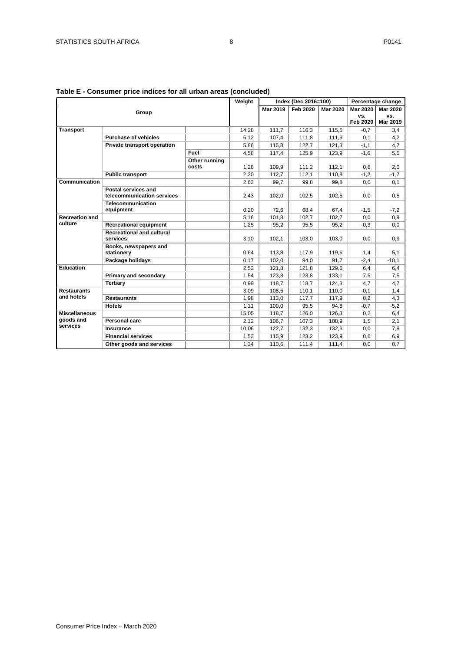| Table E - Consumer price indices for all urban areas (concluded) |  |  |
|------------------------------------------------------------------|--|--|
|                                                                  |  |  |

|                       |                                  | Weight        |       | Index (Dec 2016=100) |          | Percentage change |                 |          |
|-----------------------|----------------------------------|---------------|-------|----------------------|----------|-------------------|-----------------|----------|
|                       | Group                            |               |       | Mar 2019             | Feb 2020 | <b>Mar 2020</b>   | <b>Mar 2020</b> | Mar 2020 |
|                       |                                  |               |       |                      |          |                   | VS.             | VS.      |
|                       |                                  |               |       |                      |          |                   | <b>Feb 2020</b> | Mar 2019 |
| <b>Transport</b>      |                                  |               | 14.28 | 111.7                | 116.3    | 115.5             | $-0.7$          | 3,4      |
|                       | <b>Purchase of vehicles</b>      |               | 6,12  | 107,4                | 111,8    | 111,9             | 0,1             | 4,2      |
|                       | Private transport operation      |               | 5,86  | 115,8                | 122.7    | 121.3             | $-1,1$          | 4,7      |
|                       |                                  | Fuel          | 4,58  | 117,4                | 125,9    | 123,9             | $-1,6$          | 5,5      |
|                       |                                  | Other running |       |                      |          |                   |                 |          |
|                       |                                  | costs         | 1,28  | 109,9                | 111,2    | 112,1             | 0,8             | 2,0      |
|                       | <b>Public transport</b>          |               | 2,30  | 112,7                | 112,1    | 110,8             | $-1,2$          | $-1,7$   |
| Communication         |                                  |               | 2.63  | 99.7                 | 99.8     | 99,8              | 0,0             | 0,1      |
|                       | Postal services and              |               |       |                      |          |                   |                 |          |
|                       | telecommunication services       |               | 2,43  | 102,0                | 102,5    | 102,5             | 0,0             | 0.5      |
|                       | Telecommunication                |               |       |                      |          |                   |                 |          |
|                       | equipment                        |               | 0,20  | 72,6                 | 68,4     | 67,4              | $-1,5$          | $-7,2$   |
| <b>Recreation and</b> |                                  |               | 5,16  | 101,8                | 102,7    | 102,7             | 0,0             | 0,9      |
| culture               | <b>Recreational equipment</b>    |               | 1,25  | 95,2                 | 95,5     | 95,2              | $-0,3$          | 0,0      |
|                       | <b>Recreational and cultural</b> |               |       |                      |          |                   |                 |          |
|                       | services                         |               | 3,10  | 102,1                | 103,0    | 103,0             | 0,0             | 0,9      |
|                       | Books, newspapers and            |               |       |                      |          |                   |                 |          |
|                       | stationery                       |               | 0,64  | 113,8                | 117,9    | 119,6             | 1,4             | 5,1      |
|                       | Package holidays                 |               | 0,17  | 102,0                | 94.0     | 91,7              | $-2,4$          | $-10,1$  |
| <b>Education</b>      |                                  |               | 2,53  | 121,8                | 121,8    | 129,6             | 6,4             | 6,4      |
|                       | Primary and secondary            |               | 1,54  | 123,8                | 123,8    | 133,1             | 7,5             | 7,5      |
|                       | <b>Tertiary</b>                  |               | 0,99  | 118,7                | 118,7    | 124,3             | 4,7             | 4,7      |
| <b>Restaurants</b>    |                                  |               | 3,09  | 108,5                | 110,1    | 110,0             | $-0,1$          | 1,4      |
| and hotels            | <b>Restaurants</b>               |               | 1,98  | 113,0                | 117,7    | 117,9             | 0,2             | 4,3      |
|                       | <b>Hotels</b>                    |               | 1,11  | 100.0                | 95,5     | 94,8              | $-0,7$          | $-5,2$   |
| <b>Miscellaneous</b>  |                                  |               | 15,05 | 118.7                | 126,0    | 126.3             | 0,2             | 6,4      |
| goods and             | Personal care                    |               | 2,12  | 106,7                | 107,3    | 108,9             | 1,5             | 2,1      |
| services              | Insurance                        |               | 10,06 | 122,7                | 132,3    | 132,3             | 0,0             | 7,8      |
|                       | <b>Financial services</b>        |               | 1,53  | 115,9                | 123,2    | 123,9             | 0,6             | 6,9      |
|                       | Other goods and services         |               | 1,34  | 110,6                | 111,4    | 111,4             | 0,0             | 0,7      |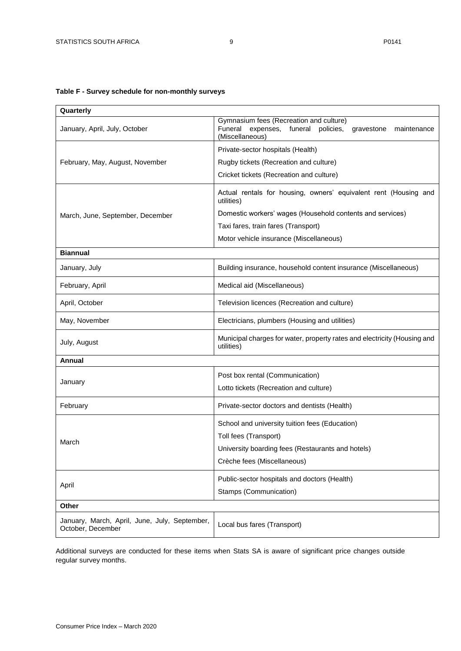# <span id="page-8-0"></span>**Table F - Survey schedule for non-monthly surveys**

| Quarterly                                                          |                                                                                                                                      |  |  |  |  |
|--------------------------------------------------------------------|--------------------------------------------------------------------------------------------------------------------------------------|--|--|--|--|
| January, April, July, October                                      | Gymnasium fees (Recreation and culture)<br>Funeral<br>expenses, funeral<br>policies,<br>maintenance<br>gravestone<br>(Miscellaneous) |  |  |  |  |
|                                                                    | Private-sector hospitals (Health)                                                                                                    |  |  |  |  |
| February, May, August, November                                    | Rugby tickets (Recreation and culture)                                                                                               |  |  |  |  |
|                                                                    | Cricket tickets (Recreation and culture)                                                                                             |  |  |  |  |
|                                                                    | Actual rentals for housing, owners' equivalent rent (Housing and<br>utilities)                                                       |  |  |  |  |
| March, June, September, December                                   | Domestic workers' wages (Household contents and services)                                                                            |  |  |  |  |
|                                                                    | Taxi fares, train fares (Transport)                                                                                                  |  |  |  |  |
|                                                                    | Motor vehicle insurance (Miscellaneous)                                                                                              |  |  |  |  |
| <b>Biannual</b>                                                    |                                                                                                                                      |  |  |  |  |
| January, July                                                      | Building insurance, household content insurance (Miscellaneous)                                                                      |  |  |  |  |
| February, April                                                    | Medical aid (Miscellaneous)                                                                                                          |  |  |  |  |
| April, October                                                     | Television licences (Recreation and culture)                                                                                         |  |  |  |  |
| May, November                                                      | Electricians, plumbers (Housing and utilities)                                                                                       |  |  |  |  |
| July, August                                                       | Municipal charges for water, property rates and electricity (Housing and<br>utilities)                                               |  |  |  |  |
| Annual                                                             |                                                                                                                                      |  |  |  |  |
|                                                                    | Post box rental (Communication)                                                                                                      |  |  |  |  |
| January                                                            | Lotto tickets (Recreation and culture)                                                                                               |  |  |  |  |
| February                                                           | Private-sector doctors and dentists (Health)                                                                                         |  |  |  |  |
|                                                                    | School and university tuition fees (Education)                                                                                       |  |  |  |  |
| March                                                              | Toll fees (Transport)                                                                                                                |  |  |  |  |
|                                                                    | University boarding fees (Restaurants and hotels)                                                                                    |  |  |  |  |
|                                                                    | Crèche fees (Miscellaneous)                                                                                                          |  |  |  |  |
|                                                                    | Public-sector hospitals and doctors (Health)                                                                                         |  |  |  |  |
| April                                                              | Stamps (Communication)                                                                                                               |  |  |  |  |
| Other                                                              |                                                                                                                                      |  |  |  |  |
| January, March, April, June, July, September,<br>October, December | Local bus fares (Transport)                                                                                                          |  |  |  |  |

Additional surveys are conducted for these items when Stats SA is aware of significant price changes outside regular survey months.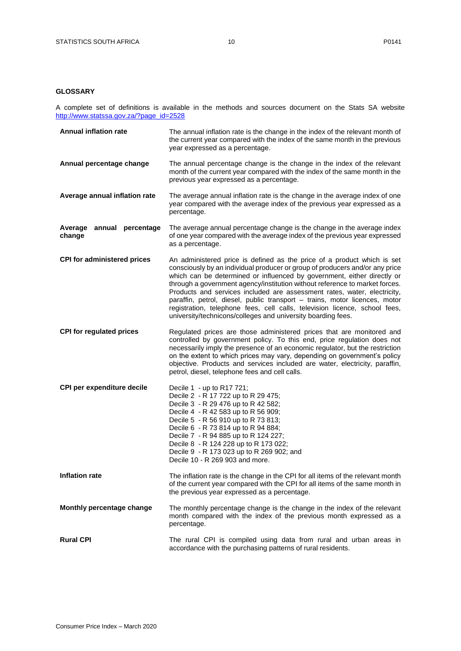#### <span id="page-9-0"></span>**GLOSSARY**

A complete set of definitions is available in the methods and sources document on the Stats SA website [http://www.statssa.gov.za/?page\\_id=2528](http://www.statssa.gov.za/?page_id=2528)

| <b>Annual inflation rate</b>        | The annual inflation rate is the change in the index of the relevant month of<br>the current year compared with the index of the same month in the previous<br>year expressed as a percentage.                                                                                                                                                                                                                                                                                                                                                                                                                            |
|-------------------------------------|---------------------------------------------------------------------------------------------------------------------------------------------------------------------------------------------------------------------------------------------------------------------------------------------------------------------------------------------------------------------------------------------------------------------------------------------------------------------------------------------------------------------------------------------------------------------------------------------------------------------------|
| Annual percentage change            | The annual percentage change is the change in the index of the relevant<br>month of the current year compared with the index of the same month in the<br>previous year expressed as a percentage.                                                                                                                                                                                                                                                                                                                                                                                                                         |
| Average annual inflation rate       | The average annual inflation rate is the change in the average index of one<br>year compared with the average index of the previous year expressed as a<br>percentage.                                                                                                                                                                                                                                                                                                                                                                                                                                                    |
| Average annual percentage<br>change | The average annual percentage change is the change in the average index<br>of one year compared with the average index of the previous year expressed<br>as a percentage.                                                                                                                                                                                                                                                                                                                                                                                                                                                 |
| <b>CPI for administered prices</b>  | An administered price is defined as the price of a product which is set<br>consciously by an individual producer or group of producers and/or any price<br>which can be determined or influenced by government, either directly or<br>through a government agency/institution without reference to market forces.<br>Products and services included are assessment rates, water, electricity,<br>paraffin, petrol, diesel, public transport - trains, motor licences, motor<br>registration, telephone fees, cell calls, television licence, school fees,<br>university/technicons/colleges and university boarding fees. |
| <b>CPI for regulated prices</b>     | Regulated prices are those administered prices that are monitored and<br>controlled by government policy. To this end, price regulation does not<br>necessarily imply the presence of an economic regulator, but the restriction<br>on the extent to which prices may vary, depending on government's policy<br>objective. Products and services included are water, electricity, paraffin,<br>petrol, diesel, telephone fees and cell calls.                                                                                                                                                                             |
| CPI per expenditure decile          | Decile 1 - up to R17 721;<br>Decile 2 - R 17 722 up to R 29 475;<br>Decile 3 - R 29 476 up to R 42 582;<br>Decile 4 - R 42 583 up to R 56 909;<br>Decile 5 - R 56 910 up to R 73 813;<br>Decile 6 - R 73 814 up to R 94 884;<br>Decile 7 - R 94 885 up to R 124 227;<br>Decile 8 - R 124 228 up to R 173 022;<br>Decile 9 - R 173 023 up to R 269 902; and<br>Decile 10 - R 269 903 and more.                                                                                                                                                                                                                             |
| <b>Inflation rate</b>               | The inflation rate is the change in the CPI for all items of the relevant month<br>of the current year compared with the CPI for all items of the same month in<br>the previous year expressed as a percentage.                                                                                                                                                                                                                                                                                                                                                                                                           |
| Monthly percentage change           | The monthly percentage change is the change in the index of the relevant<br>month compared with the index of the previous month expressed as a<br>percentage.                                                                                                                                                                                                                                                                                                                                                                                                                                                             |
| <b>Rural CPI</b>                    | The rural CPI is compiled using data from rural and urban areas in<br>accordance with the purchasing patterns of rural residents.                                                                                                                                                                                                                                                                                                                                                                                                                                                                                         |